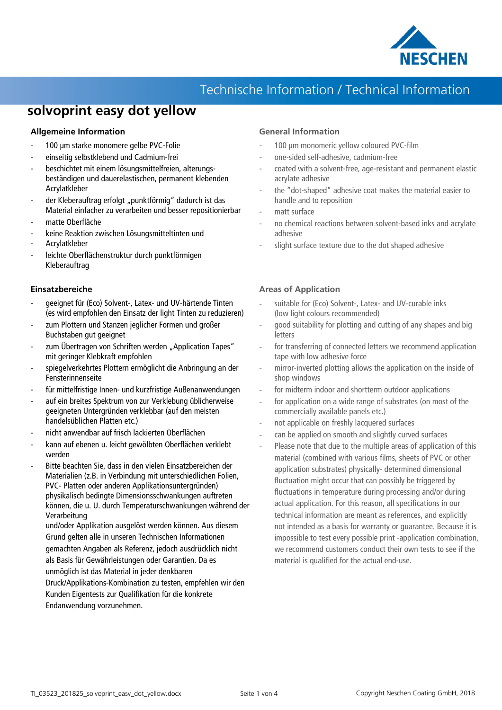

### **solvoprint easy dot yellow**

#### **Allgemeine Information**

- 100 µm starke monomere gelbe PVC-Folie
- einseitig selbstklebend und Cadmium-frei
- beschichtet mit einem lösungsmittelfreien, alterungsbeständigen und dauerelastischen, permanent klebenden Acrylatkleber
- der Kleberauftrag erfolgt "punktförmig" dadurch ist das Material einfacher zu verarbeiten und besser repositionierbar
- matte Oberfläche
- keine Reaktion zwischen Lösungsmitteltinten und
- Acrylatkleber
- leichte Oberflächenstruktur durch punktförmigen Kleberauftrag

#### **Einsatzbereiche**

- geeignet für (Eco) Solvent-, Latex- und UV-härtende Tinten (es wird empfohlen den Einsatz der light Tinten zu reduzieren)
- zum Plottern und Stanzen jeglicher Formen und großer Buchstaben gut geeignet
- zum Übertragen von Schriften werden "Application Tapes" mit geringer Klebkraft empfohlen
- spiegelverkehrtes Plottern ermöglicht die Anbringung an der Fensterinnenseite
- für mittelfristige Innen- und kurzfristige Außenanwendungen
- auf ein breites Spektrum von zur Verklebung üblicherweise geeigneten Untergründen verklebbar (auf den meisten handelsüblichen Platten etc.)
- nicht anwendbar auf frisch lackierten Oberflächen
- kann auf ebenen u. leicht gewölbten Oberflächen verklebt werden
- Bitte beachten Sie, dass in den vielen Einsatzbereichen der Materialien (z.B. in Verbindung mit unterschiedlichen Folien, PVC- Platten oder anderen Applikationsuntergründen) physikalisch bedingte Dimensionsschwankungen auftreten können, die u. U. durch Temperaturschwankungen während der Verarbeitung

und/oder Applikation ausgelöst werden können. Aus diesem Grund gelten alle in unseren Technischen Informationen gemachten Angaben als Referenz, jedoch ausdrücklich nicht als Basis für Gewährleistungen oder Garantien. Da es unmöglich ist das Material in jeder denkbaren

Druck/Applikations-Kombination zu testen, empfehlen wir den Kunden Eigentests zur Qualifikation für die konkrete Endanwendung vorzunehmen.

#### **General Information**

- 100 µm monomeric yellow coloured PVC-film
- one-sided self-adhesive, cadmium-free
- coated with a solvent-free, age-resistant and permanent elastic acrylate adhesive
- the "dot-shaped" adhesive coat makes the material easier to handle and to reposition
- matt surface
- no chemical reactions between solvent-based inks and acrylate adhesive
- slight surface texture due to the dot shaped adhesive

#### **Areas of Application**

- suitable for (Eco) Solvent-, Latex- and UV-curable inks (low light colours recommended)
- good suitability for plotting and cutting of any shapes and big letters
- for transferring of connected letters we recommend application tape with low adhesive force
- mirror-inverted plotting allows the application on the inside of shop windows
- for midterm indoor and shortterm outdoor applications
- for application on a wide range of substrates (on most of the commercially available panels etc.)
- not applicable on freshly lacquered surfaces
- can be applied on smooth and slightly curved surfaces
- Please note that due to the multiple areas of application of this material (combined with various films, sheets of PVC or other application substrates) physically- determined dimensional fluctuation might occur that can possibly be triggered by fluctuations in temperature during processing and/or during actual application. For this reason, all specifications in our technical information are meant as references, and explicitly not intended as a basis for warranty or guarantee. Because it is impossible to test every possible print -application combination, we recommend customers conduct their own tests to see if the material is qualified for the actual end-use.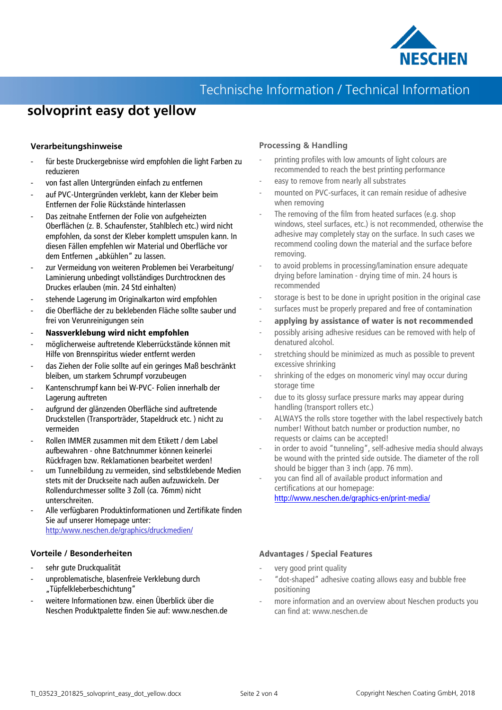

# **solvoprint easy dot yellow**

#### **Verarbeitungshinweise**

- für beste Druckergebnisse wird empfohlen die light Farben zu reduzieren
- von fast allen Untergründen einfach zu entfernen
- auf PVC-Untergründen verklebt, kann der Kleber beim Entfernen der Folie Rückstände hinterlassen
- Das zeitnahe Entfernen der Folie von aufgeheizten Oberflächen (z. B. Schaufenster, Stahlblech etc.) wird nicht empfohlen, da sonst der Kleber komplett umspulen kann. In diesen Fällen empfehlen wir Material und Oberfläche vor dem Entfernen "abkühlen" zu lassen.
- zur Vermeidung von weiteren Problemen bei Verarbeitung/ Laminierung unbedingt vollständiges Durchtrocknen des Druckes erlauben (min. 24 Std einhalten)
- stehende Lagerung im Originalkarton wird empfohlen
- die Oberfläche der zu beklebenden Fläche sollte sauber und frei von Verunreinigungen sein
- **Nassverklebung wird nicht empfohlen**
- möglicherweise auftretende Kleberrückstände können mit Hilfe von Brennspiritus wieder entfernt werden
- das Ziehen der Folie sollte auf ein geringes Maß beschränkt bleiben, um starkem Schrumpf vorzubeugen
- Kantenschrumpf kann bei W-PVC- Folien innerhalb der Lagerung auftreten
- aufgrund der glänzenden Oberfläche sind auftretende Druckstellen (Transporträder, Stapeldruck etc. ) nicht zu vermeiden
- Rollen IMMER zusammen mit dem Etikett / dem Label aufbewahren - ohne Batchnummer können keinerlei Rückfragen bzw. Reklamationen bearbeitet werden!
- um Tunnelbildung zu vermeiden, sind selbstklebende Medien stets mit der Druckseite nach außen aufzuwickeln. Der Rollendurchmesser sollte 3 Zoll (ca. 76mm) nicht unterschreiten.
- Alle verfügbaren Produktinformationen und Zertifikate finden Sie auf unserer Homepage unter: http:/www.neschen.de/graphics/druckmedien/

#### **Vorteile / Besonderheiten**

- sehr gute Druckqualität
- unproblematische, blasenfreie Verklebung durch "Tüpfelkleberbeschichtung"
- weitere Informationen bzw. einen Überblick über die Neschen Produktpalette finden Sie auf: www.neschen.de

#### **Processing & Handling**

- printing profiles with low amounts of light colours are recommended to reach the best printing performance
- easy to remove from nearly all substrates
- mounted on PVC-surfaces, it can remain residue of adhesive when removing
- The removing of the film from heated surfaces (e.g. shop windows, steel surfaces, etc.) is not recommended, otherwise the adhesive may completely stay on the surface. In such cases we recommend cooling down the material and the surface before removing.
- to avoid problems in processing/lamination ensure adequate drying before lamination - drying time of min. 24 hours is recommended
- storage is best to be done in upright position in the original case
- surfaces must be properly prepared and free of contamination
- **applying by assistance of water is not recommended**
- possibly arising adhesive residues can be removed with help of denatured alcohol.
- stretching should be minimized as much as possible to prevent excessive shrinking
- shrinking of the edges on monomeric vinyl may occur during storage time
- due to its glossy surface pressure marks may appear during handling (transport rollers etc.)
- ALWAYS the rolls store together with the label respectively batch number! Without batch number or production number, no requests or claims can be accepted!
- in order to avoid "tunneling", self-adhesive media should always be wound with the printed side outside. The diameter of the roll should be bigger than 3 inch (app. 76 mm).
- you can find all of available product information and certifications at our homepage: http://www.neschen.de/graphics-en/print-media/

#### **Advantages / Special Features**

- very good print quality
- "dot-shaped" adhesive coating allows easy and bubble free positioning
- more information and an overview about Neschen products you can find at: www.neschen.de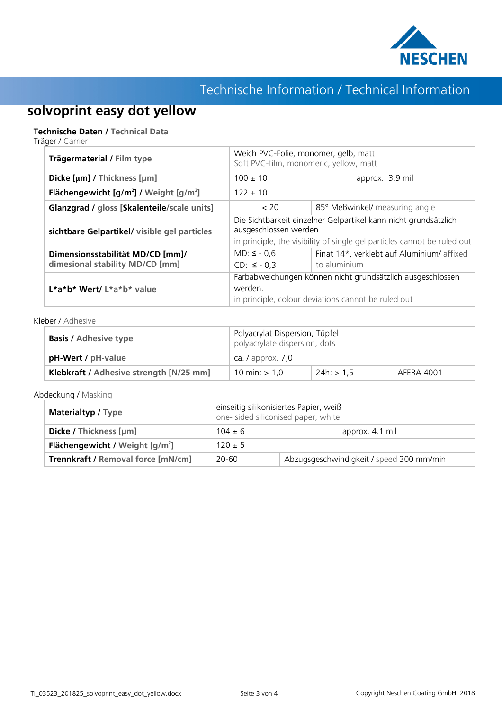

# **solvoprint easy dot yellow**

#### **Technische Daten / Technical Data**

Träger / Carrier

| Trägermaterial / Film type                                      | Weich PVC-Folie, monomer, gelb, matt<br>Soft PVC-film, monomeric, yellow, matt                                                                                       |                                |                                            |  |
|-----------------------------------------------------------------|----------------------------------------------------------------------------------------------------------------------------------------------------------------------|--------------------------------|--------------------------------------------|--|
| Dicke [µm] / Thickness [µm]                                     | $100 \pm 10$                                                                                                                                                         |                                | approx.: 3.9 mil                           |  |
| Flächengewicht [g/m <sup>2</sup> ] / Weight [g/m <sup>2</sup> ] | $122 \pm 10$                                                                                                                                                         |                                |                                            |  |
| Glanzgrad / gloss [Skalenteile/scale units]                     | < 20                                                                                                                                                                 | 85° Meßwinkel/ measuring angle |                                            |  |
| sichtbare Gelpartikel/ visible gel particles                    | Die Sichtbarkeit einzelner Gelpartikel kann nicht grundsätzlich<br>ausgeschlossen werden<br>in principle, the visibility of single gel particles cannot be ruled out |                                |                                            |  |
| Dimensionsstabilität MD/CD [mm]/                                | $MD: \le -0.6$                                                                                                                                                       |                                | Finat 14*, verklebt auf Aluminium/ affixed |  |
| dimesional stability MD/CD [mm]                                 | $CD: ≤ -0.3$                                                                                                                                                         | to aluminium                   |                                            |  |
| L*a*b* Wert/ L*a*b* value                                       | Farbabweichungen können nicht grundsätzlich ausgeschlossen<br>werden.<br>in principle, colour deviations cannot be ruled out                                         |                                |                                            |  |

#### Kleber / Adhesive

| <b>Basis / Adhesive type</b>            | Polyacrylat Dispersion, Tüpfel<br>polyacrylate dispersion, dots |                |            |  |
|-----------------------------------------|-----------------------------------------------------------------|----------------|------------|--|
| pH-Wert / pH-value                      | ca. $\sqrt{a}$ approx. $\sqrt{2}$ , 0                           |                |            |  |
| Klebkraft / Adhesive strength [N/25 mm] | 10 min: $> 1,0$                                                 | $24h:$ $> 1.5$ | AFERA 4001 |  |

Abdeckung / Masking

| <b>Materialtyp / Type</b>                 | einseitig silikonisiertes Papier, weiß<br>one- sided siliconised paper, white |                                          |                 |
|-------------------------------------------|-------------------------------------------------------------------------------|------------------------------------------|-----------------|
| Dicke / Thickness [µm]                    | $104 \pm 6$                                                                   |                                          | approx. 4.1 mil |
| <b>Flächengewicht</b> / Weight $[g/m^2]$  | $120 \pm 5$                                                                   |                                          |                 |
| <b>Trennkraft / Removal force [mN/cm]</b> | 20-60                                                                         | Abzugsgeschwindigkeit / speed 300 mm/min |                 |